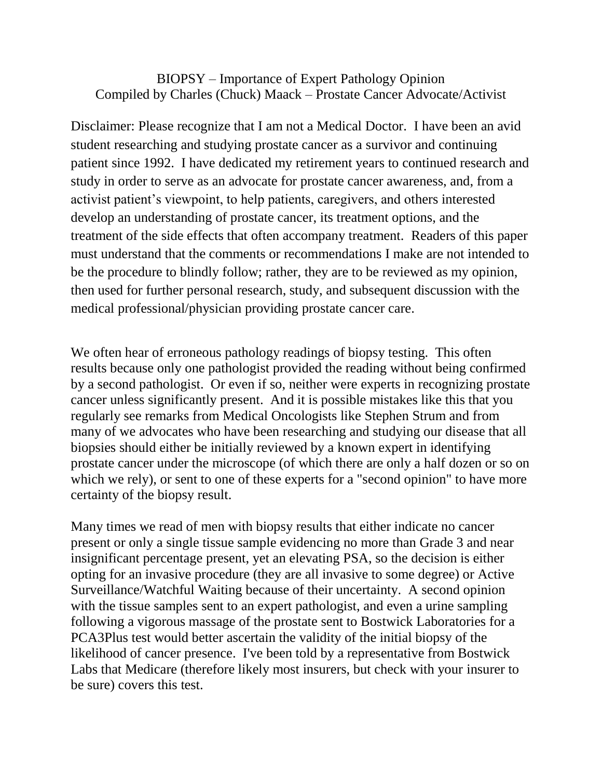## BIOPSY – Importance of Expert Pathology Opinion Compiled by Charles (Chuck) Maack – Prostate Cancer Advocate/Activist

Disclaimer: Please recognize that I am not a Medical Doctor. I have been an avid student researching and studying prostate cancer as a survivor and continuing patient since 1992. I have dedicated my retirement years to continued research and study in order to serve as an advocate for prostate cancer awareness, and, from a activist patient's viewpoint, to help patients, caregivers, and others interested develop an understanding of prostate cancer, its treatment options, and the treatment of the side effects that often accompany treatment. Readers of this paper must understand that the comments or recommendations I make are not intended to be the procedure to blindly follow; rather, they are to be reviewed as my opinion, then used for further personal research, study, and subsequent discussion with the medical professional/physician providing prostate cancer care.

We often hear of erroneous pathology readings of biopsy testing. This often results because only one pathologist provided the reading without being confirmed by a second pathologist. Or even if so, neither were experts in recognizing prostate cancer unless significantly present. And it is possible mistakes like this that you regularly see remarks from Medical Oncologists like Stephen Strum and from many of we advocates who have been researching and studying our disease that all biopsies should either be initially reviewed by a known expert in identifying prostate cancer under the microscope (of which there are only a half dozen or so on which we rely), or sent to one of these experts for a "second opinion" to have more certainty of the biopsy result.

Many times we read of men with biopsy results that either indicate no cancer present or only a single tissue sample evidencing no more than Grade 3 and near insignificant percentage present, yet an elevating PSA, so the decision is either opting for an invasive procedure (they are all invasive to some degree) or Active Surveillance/Watchful Waiting because of their uncertainty. A second opinion with the tissue samples sent to an expert pathologist, and even a urine sampling following a vigorous massage of the prostate sent to Bostwick Laboratories for a PCA3Plus test would better ascertain the validity of the initial biopsy of the likelihood of cancer presence. I've been told by a representative from Bostwick Labs that Medicare (therefore likely most insurers, but check with your insurer to be sure) covers this test.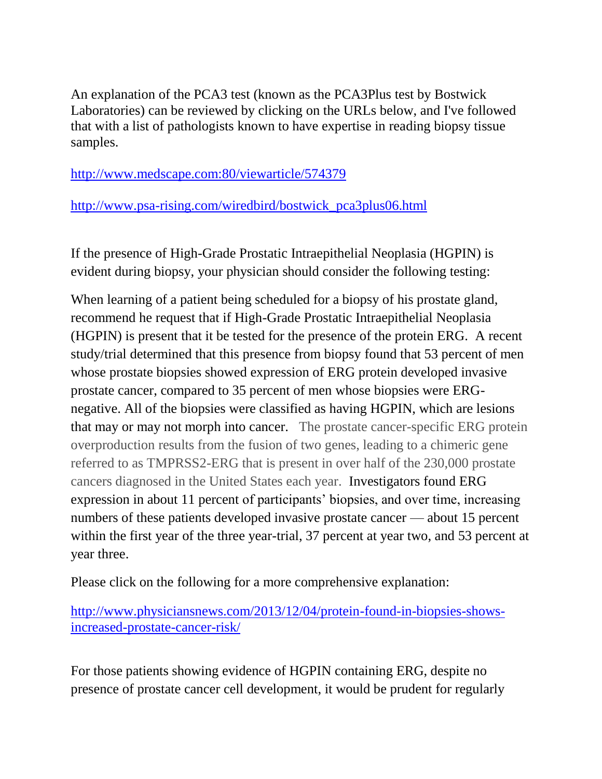An explanation of the PCA3 test (known as the PCA3Plus test by Bostwick Laboratories) can be reviewed by clicking on the URLs below, and I've followed that with a list of pathologists known to have expertise in reading biopsy tissue samples.

[http://www.medscape.com:80/viewarticle/574379](http://www.medscape.com/viewarticle/574379)

[http://www.psa-rising.com/wiredbird/bostwick\\_pca3plus06.html](http://www.psa-rising.com/wiredbird/bostwick_pca3plus06.html)

If the presence of High-Grade Prostatic Intraepithelial Neoplasia (HGPIN) is evident during biopsy, your physician should consider the following testing:

When learning of a patient being scheduled for a biopsy of his prostate gland, recommend he request that if High-Grade Prostatic Intraepithelial Neoplasia (HGPIN) is present that it be tested for the presence of the protein ERG. A recent study/trial determined that this presence from biopsy found that 53 percent of men whose prostate biopsies showed expression of ERG protein developed invasive prostate cancer, compared to 35 percent of men whose biopsies were ERGnegative. All of the biopsies were classified as having HGPIN, which are lesions that may or may not morph into cancer. The prostate cancer-specific ERG protein overproduction results from the fusion of two genes, leading to a chimeric gene referred to as TMPRSS2-ERG that is present in over half of the 230,000 prostate cancers diagnosed in the United States each year. Investigators found ERG expression in about 11 percent of participants' biopsies, and over time, increasing numbers of these patients developed invasive prostate cancer — about 15 percent within the first year of the three year-trial, 37 percent at year two, and 53 percent at year three.

Please click on the following for a more comprehensive explanation:

[http://www.physiciansnews.com/2013/12/04/protein-found-in-biopsies-shows](http://www.physiciansnews.com/2013/12/04/protein-found-in-biopsies-shows-increased-prostate-cancer-risk/)[increased-prostate-cancer-risk/](http://www.physiciansnews.com/2013/12/04/protein-found-in-biopsies-shows-increased-prostate-cancer-risk/)

For those patients showing evidence of HGPIN containing ERG, despite no presence of prostate cancer cell development, it would be prudent for regularly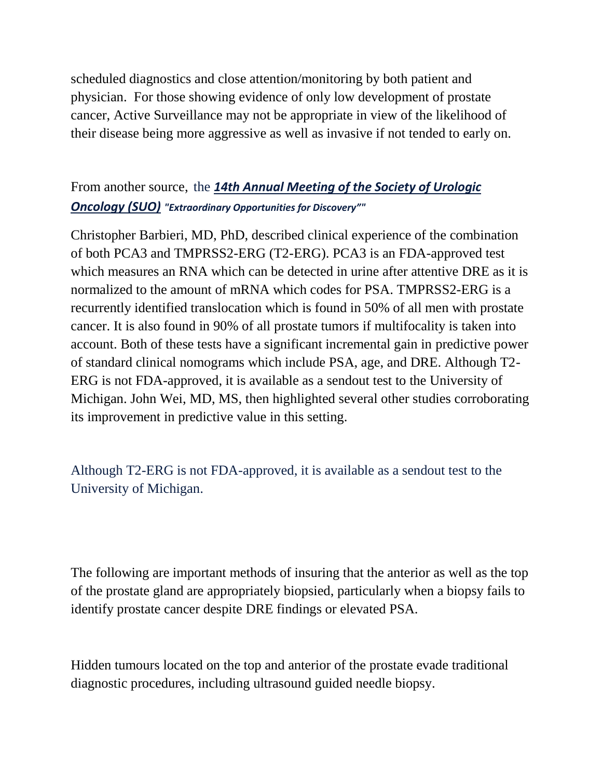scheduled diagnostics and close attention/monitoring by both patient and physician. For those showing evidence of only low development of prostate cancer, Active Surveillance may not be appropriate in view of the likelihood of their disease being more aggressive as well as invasive if not tended to early on.

## From another source, the *14th Annual [Meeting](http://www.urotoday.com/index.php?option=com_content&Itemid=1759&id=1503&lang=en&layout=blog&view=category) of the Society of Urologic [Oncology](http://www.urotoday.com/index.php?option=com_content&Itemid=1759&id=1503&lang=en&layout=blog&view=category) (SUO) "Extraordinary Opportunities for Discovery""*

Christopher Barbieri, MD, PhD, described clinical experience of the combination of both PCA3 and TMPRSS2-ERG (T2-ERG). PCA3 is an FDA-approved test which measures an RNA which can be detected in urine after attentive DRE as it is normalized to the amount of mRNA which codes for PSA. TMPRSS2-ERG is a recurrently identified translocation which is found in 50% of all men with prostate cancer. It is also found in 90% of all prostate tumors if multifocality is taken into account. Both of these tests have a significant incremental gain in predictive power of standard clinical nomograms which include PSA, age, and DRE. Although T2- ERG is not FDA-approved, it is available as a sendout test to the University of Michigan. John Wei, MD, MS, then highlighted several other studies corroborating its improvement in predictive value in this setting.

Although T2-ERG is not FDA-approved, it is available as a sendout test to the University of Michigan.

The following are important methods of insuring that the anterior as well as the top of the prostate gland are appropriately biopsied, particularly when a biopsy fails to identify prostate cancer despite DRE findings or elevated PSA.

Hidden tumours located on the top and anterior of the prostate evade traditional diagnostic procedures, including ultrasound guided needle biopsy.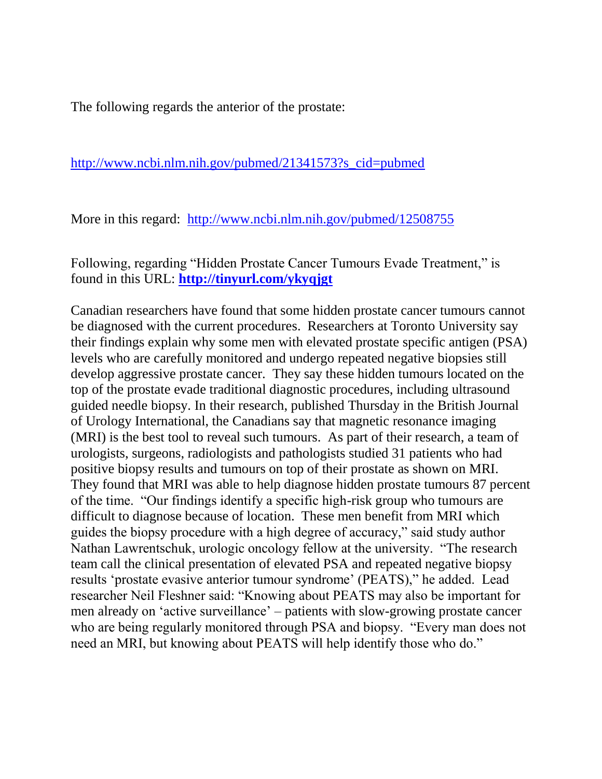The following regards the anterior of the prostate:

[http://www.ncbi.nlm.nih.gov/pubmed/21341573?s\\_cid=pubmed](http://www.ncbi.nlm.nih.gov/pubmed/21341573?s_cid=pubmed)

More in this regard: <http://www.ncbi.nlm.nih.gov/pubmed/12508755>

Following, regarding "Hidden Prostate Cancer Tumours Evade Treatment," is found in this URL: **<http://tinyurl.com/ykyqjgt>**

Canadian researchers have found that some hidden prostate cancer tumours cannot be diagnosed with the current procedures. Researchers at Toronto University say their findings explain why some men with elevated prostate specific antigen (PSA) levels who are carefully monitored and undergo repeated negative biopsies still develop aggressive prostate cancer. They say these hidden tumours located on the top of the prostate evade traditional diagnostic procedures, including ultrasound guided needle biopsy. In their research, published Thursday in the British Journal of Urology International, the Canadians say that magnetic resonance imaging (MRI) is the best tool to reveal such tumours. As part of their research, a team of urologists, surgeons, radiologists and pathologists studied 31 patients who had positive biopsy results and tumours on top of their prostate as shown on MRI. They found that MRI was able to help diagnose hidden prostate tumours 87 percent of the time. "Our findings identify a specific high-risk group who tumours are difficult to diagnose because of location. These men benefit from MRI which guides the biopsy procedure with a high degree of accuracy," said study author Nathan Lawrentschuk, urologic oncology fellow at the university. "The research team call the clinical presentation of elevated PSA and repeated negative biopsy results 'prostate evasive anterior tumour syndrome' (PEATS)," he added. Lead researcher Neil Fleshner said: "Knowing about PEATS may also be important for men already on 'active surveillance' – patients with slow-growing prostate cancer who are being regularly monitored through PSA and biopsy. "Every man does not need an MRI, but knowing about PEATS will help identify those who do."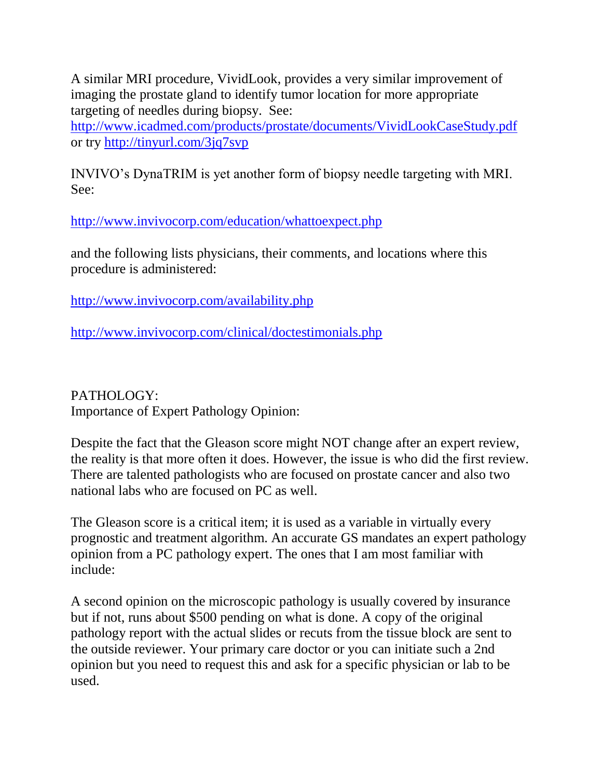A similar MRI procedure, VividLook, provides a very similar improvement of imaging the prostate gland to identify tumor location for more appropriate targeting of needles during biopsy. See:

<http://www.icadmed.com/products/prostate/documents/VividLookCaseStudy.pdf> or try<http://tinyurl.com/3jq7svp>

INVIVO's DynaTRIM is yet another form of biopsy needle targeting with MRI. See:

<http://www.invivocorp.com/education/whattoexpect.php>

and the following lists physicians, their comments, and locations where this procedure is administered:

<http://www.invivocorp.com/availability.php>

<http://www.invivocorp.com/clinical/doctestimonials.php>

PATHOLOGY: Importance of Expert Pathology Opinion:

Despite the fact that the Gleason score might NOT change after an expert review, the reality is that more often it does. However, the issue is who did the first review. There are talented pathologists who are focused on prostate cancer and also two national labs who are focused on PC as well.

The Gleason score is a critical item; it is used as a variable in virtually every prognostic and treatment algorithm. An accurate GS mandates an expert pathology opinion from a PC pathology expert. The ones that I am most familiar with include:

A second opinion on the microscopic pathology is usually covered by insurance but if not, runs about \$500 pending on what is done. A copy of the original pathology report with the actual slides or recuts from the tissue block are sent to the outside reviewer. Your primary care doctor or you can initiate such a 2nd opinion but you need to request this and ask for a specific physician or lab to be used.